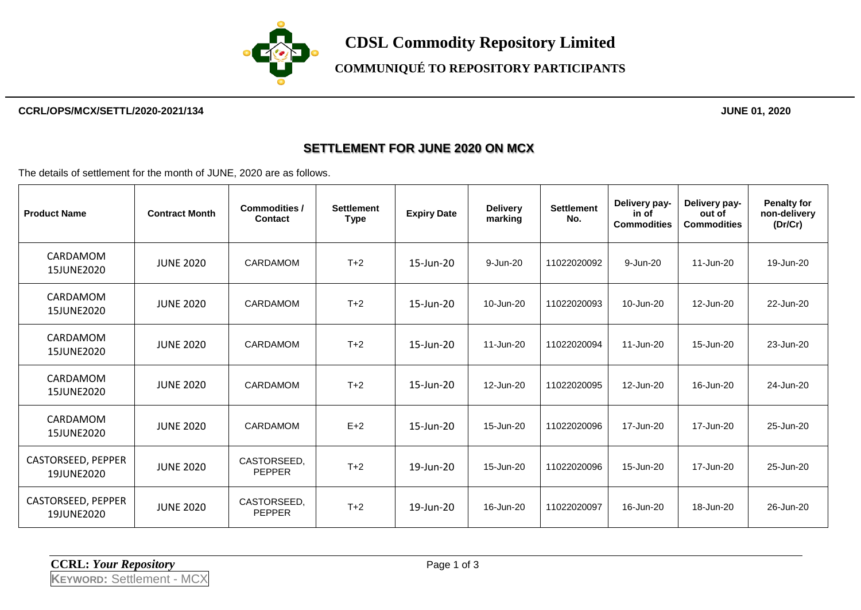

#### **CCRL/OPS/MCX/SETTL/2020-2021/134 JUNE 01, 2020**

#### **SETTLEMENT FOR JUNE 2020 ON MCX**

The details of settlement for the month of JUNE, 2020 are as follows.

| <b>Product Name</b>              | <b>Contract Month</b> | <b>Commodities /</b><br><b>Contact</b> | <b>Settlement</b><br><b>Type</b> | <b>Expiry Date</b> | <b>Delivery</b><br>marking | <b>Settlement</b><br>No. | Delivery pay-<br>in of<br><b>Commodities</b> | Delivery pay-<br>out of<br><b>Commodities</b> | <b>Penalty for</b><br>non-delivery<br>(Dr/Cr) |
|----------------------------------|-----------------------|----------------------------------------|----------------------------------|--------------------|----------------------------|--------------------------|----------------------------------------------|-----------------------------------------------|-----------------------------------------------|
| CARDAMOM<br>15JUNE2020           | <b>JUNE 2020</b>      | CARDAMOM                               | $T+2$                            | 15-Jun-20          | 9-Jun-20                   | 11022020092              | 9-Jun-20                                     | 11-Jun-20                                     | 19-Jun-20                                     |
| CARDAMOM<br>15JUNE2020           | <b>JUNE 2020</b>      | CARDAMOM                               | $T+2$                            | 15-Jun-20          | 10-Jun-20                  | 11022020093              | 10-Jun-20                                    | 12-Jun-20                                     | 22-Jun-20                                     |
| CARDAMOM<br>15JUNE2020           | <b>JUNE 2020</b>      | CARDAMOM                               | $T+2$                            | 15-Jun-20          | 11-Jun-20                  | 11022020094              | 11-Jun-20                                    | 15-Jun-20                                     | 23-Jun-20                                     |
| CARDAMOM<br>15JUNE2020           | <b>JUNE 2020</b>      | <b>CARDAMOM</b>                        | $T+2$                            | 15-Jun-20          | 12-Jun-20                  | 11022020095              | 12-Jun-20                                    | 16-Jun-20                                     | 24-Jun-20                                     |
| CARDAMOM<br>15JUNE2020           | <b>JUNE 2020</b>      | CARDAMOM                               | $E+2$                            | 15-Jun-20          | 15-Jun-20                  | 11022020096              | 17-Jun-20                                    | 17-Jun-20                                     | 25-Jun-20                                     |
| CASTORSEED, PEPPER<br>19JUNE2020 | <b>JUNE 2020</b>      | CASTORSEED.<br><b>PEPPER</b>           | $T+2$                            | 19-Jun-20          | 15-Jun-20                  | 11022020096              | 15-Jun-20                                    | 17-Jun-20                                     | 25-Jun-20                                     |
| CASTORSEED, PEPPER<br>19JUNE2020 | <b>JUNE 2020</b>      | CASTORSEED.<br><b>PEPPER</b>           | $T+2$                            | 19-Jun-20          | 16-Jun-20                  | 11022020097              | 16-Jun-20                                    | 18-Jun-20                                     | 26-Jun-20                                     |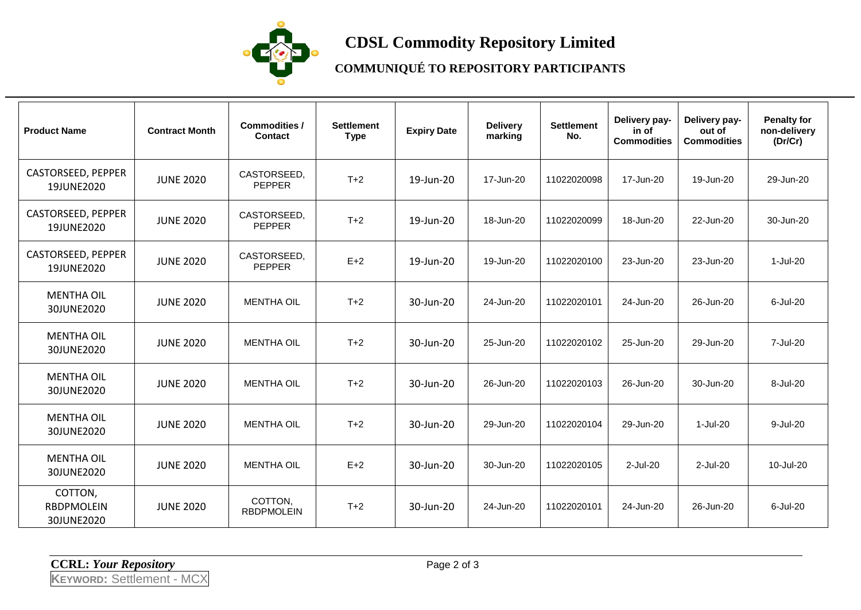

# **CDSL Commodity Repository Limited**

### **COMMUNIQUÉ TO REPOSITORY PARTICIPANTS**

| <b>Product Name</b>                 | <b>Contract Month</b> | <b>Commodities /</b><br>Contact | <b>Settlement</b><br><b>Type</b> | <b>Expiry Date</b> | <b>Delivery</b><br>marking | <b>Settlement</b><br>No. | Delivery pay-<br>in of<br><b>Commodities</b> | Delivery pay-<br>out of<br><b>Commodities</b> | <b>Penalty for</b><br>non-delivery<br>(Dr/Cr) |
|-------------------------------------|-----------------------|---------------------------------|----------------------------------|--------------------|----------------------------|--------------------------|----------------------------------------------|-----------------------------------------------|-----------------------------------------------|
| CASTORSEED, PEPPER<br>19JUNE2020    | <b>JUNE 2020</b>      | CASTORSEED,<br><b>PEPPER</b>    | $T+2$                            | 19-Jun-20          | 17-Jun-20                  | 11022020098              | 17-Jun-20                                    | 19-Jun-20                                     | 29-Jun-20                                     |
| CASTORSEED, PEPPER<br>19JUNE2020    | <b>JUNE 2020</b>      | CASTORSEED,<br><b>PEPPER</b>    | $T+2$                            | 19-Jun-20          | 18-Jun-20                  | 11022020099              | 18-Jun-20                                    | 22-Jun-20                                     | 30-Jun-20                                     |
| CASTORSEED, PEPPER<br>19JUNE2020    | <b>JUNE 2020</b>      | CASTORSEED,<br><b>PEPPER</b>    | $E+2$                            | 19-Jun-20          | 19-Jun-20                  | 11022020100              | 23-Jun-20                                    | 23-Jun-20                                     | 1-Jul-20                                      |
| <b>MENTHA OIL</b><br>30JUNE2020     | <b>JUNE 2020</b>      | <b>MENTHA OIL</b>               | $T+2$                            | 30-Jun-20          | 24-Jun-20                  | 11022020101              | 24-Jun-20                                    | 26-Jun-20                                     | 6-Jul-20                                      |
| <b>MENTHA OIL</b><br>30JUNE2020     | <b>JUNE 2020</b>      | <b>MENTHA OIL</b>               | $T+2$                            | 30-Jun-20          | 25-Jun-20                  | 11022020102              | 25-Jun-20                                    | 29-Jun-20                                     | 7-Jul-20                                      |
| <b>MENTHA OIL</b><br>30JUNE2020     | <b>JUNE 2020</b>      | <b>MENTHA OIL</b>               | $T+2$                            | 30-Jun-20          | 26-Jun-20                  | 11022020103              | 26-Jun-20                                    | 30-Jun-20                                     | 8-Jul-20                                      |
| <b>MENTHA OIL</b><br>30JUNE2020     | <b>JUNE 2020</b>      | <b>MENTHA OIL</b>               | $T+2$                            | 30-Jun-20          | 29-Jun-20                  | 11022020104              | 29-Jun-20                                    | 1-Jul-20                                      | 9-Jul-20                                      |
| <b>MENTHA OIL</b><br>30JUNE2020     | <b>JUNE 2020</b>      | <b>MENTHA OIL</b>               | $E+2$                            | 30-Jun-20          | 30-Jun-20                  | 11022020105              | 2-Jul-20                                     | 2-Jul-20                                      | 10-Jul-20                                     |
| COTTON,<br>RBDPMOLEIN<br>30JUNE2020 | <b>JUNE 2020</b>      | COTTON,<br><b>RBDPMOLEIN</b>    | $T+2$                            | 30-Jun-20          | 24-Jun-20                  | 11022020101              | 24-Jun-20                                    | 26-Jun-20                                     | 6-Jul-20                                      |